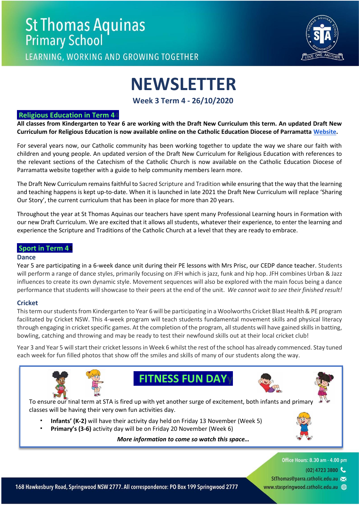

LEARNING, WORKING AND GROWING TOGETHER

# **NEWSLETTER**

**Week 3 Term 4 - 26/10/2020**

#### **Religious Education in Term 44**

**All classes from Kindergarten to Year 6 are working with the Draft New Curriculum this term. An updated Draft New Curriculum for Religious Education is now available online on the Catholic Education Diocese of Parramatta [Website.](https://www.parra.catholic.edu.au/2020DraftRE)** 

For several years now, our Catholic community has been working together to update the way we share our faith with children and young people. An updated version of the Draft New Curriculum for Religious Education with references to the relevant sections of the Catechism of the Catholic Church is now available on the Catholic Education Diocese of Parramatta website together with a guide to help community members learn more.

The Draft New Curriculum remains faithful to Sacred Scripture and Tradition while ensuring that the way that the learning and teaching happens is kept up-to-date. When it is launched in late 2021 the Draft New Curriculum will replace 'Sharing Our Story', the current curriculum that has been in place for more than 20 years.

Throughout the year at St Thomas Aquinas our teachers have spent many Professional Learning hours in Formation with our new Draft Curriculum. We are excited that it allows all students, whatever their experience, to enter the learning and experience the Scripture and Traditions of the Catholic Church at a level that they are ready to embrace.

#### **Sport in Term 44**

#### **Dance**

Year 5 are participating in a 6-week dance unit during their PE lessons with Mrs Prisc, our CEDP dance teacher. Students will perform a range of dance styles, primarily focusing on JFH which is jazz, funk and hip hop. JFH combines Urban & Jazz influences to create its own dynamic style. Movement sequences will also be explored with the main focus being a dance performance that students will showcase to their peers at the end of the unit. *We cannot wait to see their finished result!*

#### **Cricket**

This term our students from Kindergarten to Year 6 will be participating in a Woolworths Cricket Blast Health & PE program facilitated by Cricket NSW. This 4-week program will teach students fundamental movement skills and physical literacy through engaging in cricket specific games. At the completion of the program, all students will have gained skills in batting, bowling, catching and throwing and may be ready to test their newfound skills out at their local cricket club!

Year 3 and Year 5 will start their cricket lessons in Week 6 whilst the rest of the school has already commenced. Stay tuned each week for fun filled photos that show off the smiles and skills of many of our students along the way.









To ensure our final term at STA is fired up with yet another surge of excitement, both infants and primary classes will be having their very own fun activities day.

- **Infants' (K-2)** will have their activity day held on Friday 13 November (Week 5)
- **Primary's (3-6)** activity day will be on Friday 20 November (Week 6)

*More information to come so watch this space…*

Office Hours: 8.30 am - 4.00 pm

- $(02)$  4723 3800
- StThomas@parra.catholic.edu.au >
- www.staspringwood.catholic.edu.au (+)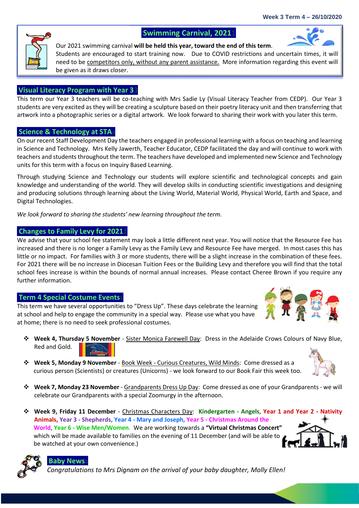### **Swimming Carnival, 2021**

Our 2021 swimming carnival **will be held this year, toward the end of this term**. Students are encouraged to start training now. Due to COVID restrictions and uncertain times, it will need to be competitors only, without any parent assistance. More information regarding this event will be given as it draws closer.

#### **Visual Literacy Program with Year 33**

This term our Year 3 teachers will be co-teaching with Mrs Sadie Ly (Visual Literacy Teacher from CEDP). Our Year 3 students are very excited as they will be creating a sculpture based on their poetry literacy unit and then transferring that artwork into a photographic series or a digital artwork. We look forward to sharing their work with you later this term.

#### **Science & Technology at STAa**

On our recent Staff Development Day the teachers engaged in professional learning with a focus on teaching and learning in Science and Technology. Mrs Kelly Jawerth, Teacher Educator, CEDP facilitated the day and will continue to work with teachers and students throughout the term. The teachers have developed and implemented new Science and Technology units for this term with a focus on Inquiry Based Learning.

Through studying Science and Technology our students will explore scientific and technological concepts and gain knowledge and understanding of the world. They will develop skills in conducting scientific investigations and designing and producing solutions through learning about the Living World, Material World, Physical World, Earth and Space, and Digital Technologies.

*We look forward to sharing the students' new learning throughout the term.* 

#### **Changes to Family Levy for 20211**

We advise that your school fee statement may look a little different next year. You will notice that the Resource Fee has increased and there is no longer a Family Levy as the Family Levy and Resource Fee have merged. In most cases this has little or no impact. For families with 3 or more students, there will be a slight increase in the combination of these fees. For 2021 there will be no increase in Diocesan Tuition Fees or the Building Levy and therefore you will find that the total school fees increase is within the bounds of normal annual increases. Please contact Cheree Brown if you require any further information.

#### **Term 4 Special Costume Eventss**

This term we have several opportunities to "Dress Up". These days celebrate the learning at school and help to engage the community in a special way. Please use what you have at home; there is no need to seek professional costumes.

- ❖ **Week 4, Thursday 5 November** Sister Monica Farewell Day: Dress in the Adelaide Crows Colours of Navy Blue, Red and Gold.
- ❖ **Week 5, Monday 9 November** Book Week Curious Creatures, Wild Minds: Come dressed as a curious person (Scientists) or creatures (Unicorns) - we look forward to our Book Fair this week too.
- ❖ **Week 7, Monday 23 November** Grandparents Dress Up Day: Come dressed as one of your Grandparents we will celebrate our Grandparents with a special Zoomurgy in the afternoon.
- ❖ **Week 9, Friday 11 December** Christmas Characters Day: **Kindergarten - Angels**, **Year 1 and Year 2 - Nativity Animals, Year 3 - Shepherds, Year 4 - Mary and Joseph, Year 5 - Christmas Around the World**, **Year 6 - Wise Men/Women**. We are working towards a **"Virtual Christmas Concert"** which will be made available to families on the evening of 11 December (and will be able to be watched at your own convenience.)

## **Baby News**

*Congratulations to Mrs Dignam on the arrival of your baby daughter, Molly Ellen!* 







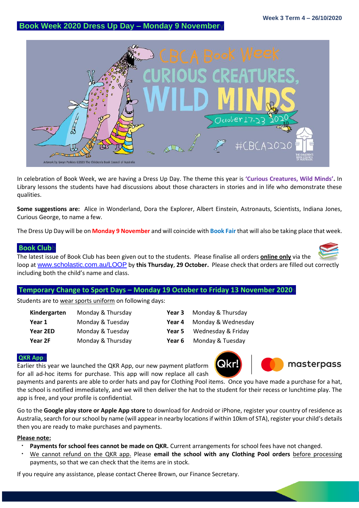## **Book Week 2020 Dress Up Day – Monday 9 Novembery**



In celebration of Book Week, we are having a Dress Up Day. The theme this year is **'Curious Creatures, Wild Minds'.** In Library lessons the students have had discussions about those characters in stories and in life who demonstrate these qualities.

**Some suggestions are:** Alice in Wonderland, Dora the Explorer, Albert Einstein, Astronauts, Scientists, Indiana Jones, Curious George, to name a few.

The Dress Up Day will be on **Monday 9 November** and will coincide with **Book Fair** that will also be taking place that week.

#### **Book Clubb**

The latest issue of Book Club has been given out to the students. Please finalise all orders **online only** via the loop at [www.scholastic.com.au/LOOP](http://www.scholastic.com.au/LOOP) by **this Thursday**, **29 October.** Please check that orders are filled out correctly including both the child's name and class.

#### **Temporary Change to Sport Days – Monday 19 October to Friday 13 November 2020s**

Students are to wear sports uniform on following days:

| Kindergarten | Monday & Thursday | Year 3 | Monday & Thursday  |
|--------------|-------------------|--------|--------------------|
| Year 1       | Monday & Tuesday  | Year 4 | Monday & Wednesday |
| Year 2ED     | Monday & Tuesday  | Year 5 | Wednesday & Friday |
| Year 2F      | Monday & Thursday | Year 6 | Monday & Tuesday   |

#### **QKR Appp**

Earlier this year we launched the QKR App, our new payment platform for all ad-hoc items for purchase. This app will now replace all cash





payments and parents are able to order hats and pay for Clothing Pool items. Once you have made a purchase for a hat, the school is notified immediately, and we will then deliver the hat to the student for their recess or lunchtime play. The app is free, and your profile is confidential.

Go to the **Google play store or Apple App store** to download for Android or iPhone, register your country of residence as Australia, search for our school by name (will appear in nearby locations if within 10km of STA), register your child's details then you are ready to make purchases and payments.

#### **Please note:**

- **Payments for school fees cannot be made on QKR.** Current arrangements for school fees have not changed.
- We cannot refund on the QKR app. Please **email the school with any Clothing Pool orders** before processing payments, so that we can check that the items are in stock.

If you require any assistance, please contact Cheree Brown, our Finance Secretary.